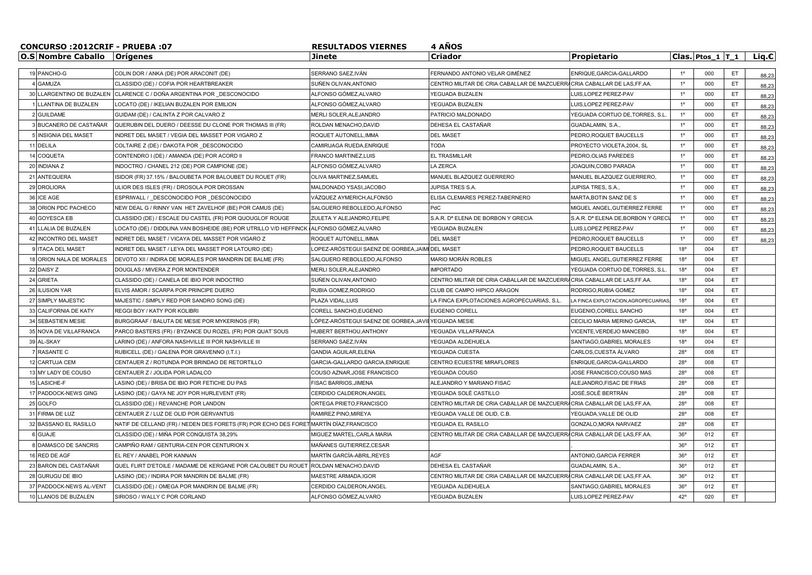| CONCURSO:2012CRIF - PRUEBA:07 |                                      |                                                                                         | <b>4 ANOS</b><br><b>RESULTADOS VIERNES</b>          |                                                                           |                                               |              |                      |     |          |  |  |
|-------------------------------|--------------------------------------|-----------------------------------------------------------------------------------------|-----------------------------------------------------|---------------------------------------------------------------------------|-----------------------------------------------|--------------|----------------------|-----|----------|--|--|
|                               | <b>O.S Nombre Caballo   Orígenes</b> |                                                                                         | Jinete                                              | Criador                                                                   | Propietario                                   |              | Clas. Ptos $1$ T $1$ |     | Lig. $c$ |  |  |
|                               |                                      |                                                                                         |                                                     |                                                                           |                                               |              |                      |     |          |  |  |
|                               | 19 PANCHO-G                          | COLIN DOR / ANKA (DE) POR ARACONIT (DE)                                                 | SERRANO SAEZ, IVÁN                                  | FERNANDO ANTONIO VELAR GIMÉNEZ                                            | ENRIQUE, GARCIA-GALLARDO                      | $1^{\circ}$  | 000                  | ET  | 88,23    |  |  |
|                               | <b>GAMUZA</b>                        | CLASSIDO (DE) / COFIA POR HEARTBREAKER                                                  | SUÑEN OLIVAN.ANTONIO                                | CENTRO MILITAR DE CRIA CABALLAR DE MAZCUERR                               | CRIA CABALLAR DE LAS.FF.AA.                   | $1^{\circ}$  | 000                  | ET  | 88,23    |  |  |
|                               | 30 LLARGENTINO DE BUZALEN            | CLARENCE C / DOÑA ARGENTINA POR DESCONOCIDO                                             | ALFONSO GÓMEZ,ALVARO                                | YEGUADA BUZALEN                                                           | UIS, LOPEZ PEREZ-PAV                          | $1^{\circ}$  | 000                  | ET  | 88,23    |  |  |
|                               | LLANTINA DE BUZALEN                  | LOCATO (DE) / IKELIAN BUZALEN POR EMILION                                               | ALFONSO GÓMEZ,ALVARO                                | YEGUADA BUZALEN                                                           | LUIS.LOPEZ PEREZ-PAV                          | $1^{\circ}$  | 000                  | ET  | 88,23    |  |  |
|                               | 2 GUILDAME                           | GUIDAM (DE) / CALINTA Z POR CALVARO Z                                                   | MERLI SOLER, ALEJANDRO                              | PATRICIO MALDONADO                                                        | YEGUADA CORTIJO DE, TORRES, S.L               | $1^{\circ}$  | 000                  | ET  | 88,23    |  |  |
|                               | 3 BUCANERO DE CASTAÑAR               | QUERUBIN DEL DUERO / DEESSE DU CLONE POR THOMAS III (FR)                                | ROLDAN MENACHO, DAVID                               | DEHESA EL CASTAÑAR                                                        | GUADALAMIN, S.A.,                             | $1^{\circ}$  | 000                  | ET  | 88,23    |  |  |
|                               | 5 INSIGNIA DEL MASET                 | INDRET DEL MASET / VEGIA DEL MASSET POR VIGARO Z                                        | ROQUET AUTONELL, IMMA                               | <b>DEL MASET</b>                                                          | PEDRO, ROQUET BAUCELLS                        | $1^{\circ}$  | 000                  | ET  | 88,23    |  |  |
|                               | 11 DELILA                            | COLTAIRE Z (DE) / DAKOTA POR DESCONOCIDO                                                | CAMIRUAGA RUEDA, ENRIQUE                            | <b>TODA</b>                                                               | PROYECTO VIOLETA, 2004, SL                    | $1^{\circ}$  | 000                  | ET  | 88,23    |  |  |
|                               | 14 COQUETA                           | CONTENDRO I (DE) / AMANDA (DE) POR ACORD II                                             | <b>FRANCO MARTINEZ.LUIS</b>                         | <b>EL TRASMILLAR</b>                                                      | PEDRO.OLIAS PAREDES                           | $1^{\circ}$  | 000                  | ET  | 88,23    |  |  |
|                               | 20 INDIANA Z                         | INDOCTRO / CHANEL 212 (DE) POR CAMPIONE (DE)                                            | ALFONSO GÓMEZ,ALVARO                                | <b>LA ZERCA</b>                                                           | JOAQUIN, COBO PARADA                          | $1^{\circ}$  | 000                  | ET  | 88,23    |  |  |
|                               | 21 ANTEQUERA                         | ISIDOR (FR) 37.15% / BALOUBETA POR BALOUBET DU ROUET (FR)                               | OLIVA MARTINEZ, SAMUEL                              | MANUEL BLAZQUEZ GUERRERO                                                  | MANUEL BLAZQUEZ GUERRERO.                     | $1^{\circ}$  | 000                  | ET  | 88,23    |  |  |
|                               | 29 DROLIORA                          | ULIOR DES ISLES (FR) / DROSOLA POR DROSSAN                                              | MALDONADO YSASI, JACOBO                             | JUPISA TRES S.A.                                                          | JUPISA TRES, S.A.,                            | $1^{\circ}$  | 000                  | ET  | 88,23    |  |  |
|                               | 36 ICE AGE                           | ESPRIWALL / DESCONOCIDO POR DESCONOCIDO                                                 | VÁZQUEZ AYMERICH,ALFONSO                            | ELISA CLEMARES PEREZ-TABERNERO                                            | MARTA, BOTIN SANZ DE S                        | $1^{\circ}$  | 000                  | ET  | 88,23    |  |  |
|                               | 38 ORION PDC PACHECO                 | NEW DEAL G / RINNY VAN HET ZAVELHOF (BE) POR CAMUS (DE)                                 | SALGUERO REBOLLEDO.ALFONSO                          | PdC                                                                       | MIGUEL ANGEL.GUTIERREZ FERRE                  | $1^{\circ}$  | 000                  | ET  | 88,23    |  |  |
|                               | 40 GOYESCA EB                        | CLASSIDO (DE) / ESCALE DU CASTEL (FR) POR QUOUGLOF ROUGE                                | ZULETA Y ALEJANDRO, FELIPE                          | S.A.R. D <sup>a</sup> ELENA DE BORBON Y GRECIA                            | S.A.R. D <sup>a</sup> ELENA DE, BORBON Y GREC | $1^{\circ}$  | 000                  | ET  | 88,23    |  |  |
|                               | 41 LLALIA DE BUZALEN                 | LOCATO (DE) / DIDDLINA VAN BOSHEIDE (BE) POR UTRILLO V/D HEFFINCK (ALFONSO GÓMEZ,ALVARO |                                                     | YEGUADA BUZALEN                                                           | LUIS, LOPEZ PEREZ-PAV                         | $1^{\circ}$  | 000                  | ET  | 88,23    |  |  |
|                               | 42 INCONTRO DEL MASET                | INDRET DEL MASET / VICAYA DEL MASSET POR VIGARO Z                                       | ROQUET AUTONELL.IMMA                                | <b>DEL MASET</b>                                                          | PEDRO, ROQUET BAUCELLS                        | $1^{\circ}$  | 000                  | ET  | 88,23    |  |  |
|                               | 9 ITACA DEL MASET                    | INDRET DEL MASET / LEYA DEL MASSET POR LATOURO (DE)                                     | LOPEZ-ARÓSTEGUI SAENZ DE GORBEA,JAIMI DEL MASET     |                                                                           | PEDRO, ROQUET BAUCELLS                        | 18°          | 004                  | ET  |          |  |  |
|                               | 18 ORION NALA DE MORALES             | DEVOTO XII / INDIRA DE MORALES POR MANDRIN DE BALME (FR)                                | SALGUERO REBOLLEDO, ALFONSO                         | MARIO MORÁN ROBLES                                                        | MIGUEL ANGEL, GUTIERREZ FERRE                 | $18^{\circ}$ | 004                  | ET  |          |  |  |
|                               | 22 DAISY Z                           | DOUGLAS / MIVERA Z POR MONTENDER                                                        | MERLI SOLER, ALEJANDRO                              | <b>IMPORTADO</b>                                                          | YEGUADA CORTIJO DE,TORRES, S.L                | 18°          | 004                  | ET  |          |  |  |
|                               | 24 GRIETA                            | CLASSIDO (DE) / CANELA DE IBIO POR INDOCTRO                                             | SUÑEN OLIVAN, ANTONIO                               | CENTRO MILITAR DE CRIA CABALLAR DE MAZCUERRA CRIA CABALLAR DE LAS, FF.AA. |                                               | 18°          | 004                  | ET  |          |  |  |
|                               | 26 ILUSION YAR                       | ELVIS AMOR / SCARPA POR PRINCIPE DUERO                                                  | RUBIA GOMEZ, RODRIGO                                | CLUB DE CAMPO HIPICO ARAGON                                               | RODRIGO, RUBIA GOMEZ                          | 18°          | 004                  | ET  |          |  |  |
|                               | 27 SIMPLY MAJESTIC                   | MAJESTIC / SIMPLY RED POR SANDRO SONG (DE)                                              | PLAZA VIDAL, LUIS                                   | LA FINCA EXPLOTACIONES AGROPECUARIAS, S.L                                 | LA FINCA EXPLOTACION, AGROPECUARIAS           | 18°          | 004                  | ET  |          |  |  |
|                               | 33 CALIFORNIA DE KATY                | REGGI BOY / KATY POR KOLIBRI                                                            | CORELL SANCHO.EUGENIO                               | <b>EUGENIO CORELL</b>                                                     | EUGENIO.CORELL SANCHO                         | $18^{\circ}$ | 004                  | ET  |          |  |  |
|                               | 34 SEBASTIEN MESIE                   | BURGGRAAF / BALUTA DE MESIE POR MYKERINOS (FR)                                          | LÓPEZ-ARÓSTEGUI SAENZ DE GORBEA, JAVIEYEGUADA MESIE |                                                                           | CECILIO MARIA MERINO GARCIA                   | 18°          | 004                  | ET  |          |  |  |
|                               | 35 NOVA DE VILLAFRANCA               | PARCO BASTERS (FR) / BYZANCE DU ROZEL (FR) POR QUAT'SOUS                                | HUBERT BERTHOU, ANTHONY                             | YEGUADA VILLAFRANCA                                                       | VICENTE,VERDEJO MANCEBO                       | 18°          | 004                  | ET  |          |  |  |
|                               | 39 AL-SKAY                           | LARINO (DE) / ANFORA NASHVILLE III POR NASHVILLE III                                    | SERRANO SAEZ.IVÁN                                   | YEGUADA ALDEHUELA                                                         | SANTIAGO.GABRIEL MORALES                      | 18°          | 004                  | ET  |          |  |  |
|                               | 7 RASANTE C                          | RUBICELL (DE) / GALENA POR GRAVENNO (I.T.I.)                                            | <b>GANDIA AGUILAR.ELENA</b>                         | YEGUADA CUESTA                                                            | CARLOS.CUESTA ÁLVARO                          | $28^\circ$   | 008                  | ET  |          |  |  |
|                               | 12 CARTUJA CEM                       | CENTAUER Z / ROTUNDA POR BRINDAO DE RETORTILLO                                          | GARCIA-GALLARDO GARCIA, ENRIQUE                     | CENTRO ECUESTRE MIRAFLORES                                                | ENRIQUE,GARCIA-GALLARDO                       | $28^{\circ}$ | 008                  | ET  |          |  |  |
|                               | 13 MY LADY DE COUSO                  | CENTAUER Z / JOLIDA POR LADALCO                                                         | COUSO AZNAR, JOSE FRANCISCO                         | YEGUADA COUSO                                                             | JOSE FRANCISCO, COUSO MAS                     | $28^{\circ}$ | 008                  | ET  |          |  |  |
|                               | 15 LASICHE-F                         | LASINO (DE) / BRISA DE IBIO POR FETICHE DU PAS                                          | <b>FISAC BARRIOS.JIMENA</b>                         | ALEJANDRO Y MARIANO FISAC                                                 | ALEJANDRO.FISAC DE FRIAS                      | $28^\circ$   | 008                  | ET  |          |  |  |
|                               | 17 PADDOCK-NEWS GING                 | LASINO (DE) / GAYA NE JOY POR HURLEVENT (FR)                                            | CERDIDO CALDERON.ANGEL                              | YEGUADA SOLÉ CASTILLO                                                     | JOSÉ.SOLÉ BERTRÁN                             | $28^\circ$   | 008                  | ET. |          |  |  |
|                               | 25 GOLFO                             | CLASSIDO (DE) / REVANCHE POR LANDON                                                     | ORTEGA PRIETO, FRANCISCO                            | CENTRO MILITAR DE CRIA CABALLAR DE MAZCUERR                               | CRIA CABALLAR DE LAS, FF.AA                   | $28^{\circ}$ | 008                  | ET  |          |  |  |
|                               | 31 FIRMA DE LUZ                      | CENTAUER Z / LUZ DE OLID POR GERVANTUS                                                  | RAMIREZ PINO, MIREYA                                | YEGUADA VALLE DE OLID, C.B.                                               | YEGUADA,VALLE DE OLID                         | $28^{\circ}$ | 008                  | ET  |          |  |  |
|                               | 32 BASSANO EL RASILLO                | NATIF DE CELLAND (FR) / NEDEN DES FORETS (FR) POR ECHO DES FORET MARTÍN DÍAZ,FRANCISCO  |                                                     | YEGUADA EL RASILLO                                                        | GONZALO,MORA NARVAEZ                          | $28^\circ$   | 008                  | ET  |          |  |  |
|                               | 6 GUAJE                              | CLASSIDO (DE) / MIÑA POR CONQUISTA 38,29%                                               | <b>MIGUEZ MARTEL.CARLA MARIA</b>                    | CENTRO MILITAR DE CRIA CABALLAR DE MAZCUERR                               | CRIA CABALLAR DE LAS.FF.AA                    | $36^{\circ}$ | 012                  | ET  |          |  |  |
|                               | 8 DAMASCO DE SANCRIS                 | CAMPIÑO RAM / GENTURIA-CEN POR CENTURION X                                              | MAÑANES GUTIERREZ,CESAR                             |                                                                           |                                               | $36^{\circ}$ | 012                  | ET  |          |  |  |
|                               | 16 RED DE AGF                        | EL REY / ANABEL POR KANNAN                                                              | MARTÍN GARCÍA-ABRIL, REYES                          | AGF                                                                       | ANTONIO, GARCIA FERRER                        | $36^{\circ}$ | 012                  | ET  |          |  |  |
|                               | 23 BARON DEL CASTAÑAR                | QUEL FLIRT D'ETOILE / MADAME DE KERGANE POR CALOUBET DU ROUET                           | ROLDAN MENACHO, DAVID                               | DEHESA EL CASTAÑAR                                                        | <b>GUADALAMIN, S.A.</b>                       | $36^{\circ}$ | 012                  | ET  |          |  |  |
|                               | 28 GURUGU DE IBIO                    | LASINO (DE) / INDIRA POR MANDRIN DE BALME (FR)                                          | MAESTRE ARMADA, IGOR                                | CENTRO MILITAR DE CRIA CABALLAR DE MAZCUERR                               | CRIA CABALLAR DE LAS, FF.AA.                  | $36^{\circ}$ | 012                  | ET  |          |  |  |
|                               | 37 PADDOCK-NEWS AL-VENT              | CLASSIDO (DE) / OMEGA POR MANDRIN DE BALME (FR)                                         | CERDIDO CALDERON, ANGEL                             | YEGUADA ALDEHUELA                                                         | SANTIAGO.GABRIEL MORALES                      | $36^{\circ}$ | 012                  | ET  |          |  |  |
|                               | 10 LLANOS DE BUZALEN                 | SIRIOSO / WALLY C POR CORLAND                                                           | ALFONSO GÓMEZ,ALVARO                                | YEGUADA BUZALEN                                                           | LUIS, LOPEZ PEREZ-PAV                         | $42^{\circ}$ | 020                  | ET. |          |  |  |
|                               |                                      |                                                                                         |                                                     |                                                                           |                                               |              |                      |     |          |  |  |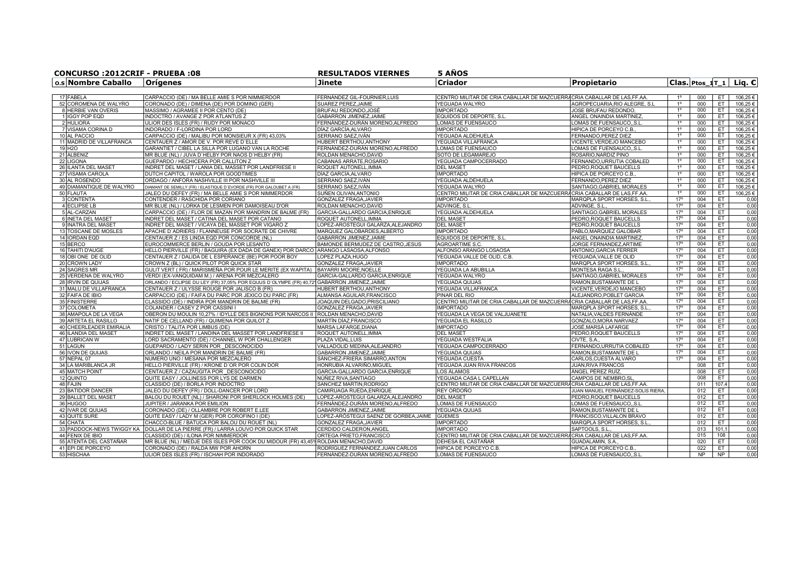| CONCURSO:2012CRIF - PRUEBA:08 |                                                                                    | <b>RESULTADOS VIERNES</b>                        | <b>5 ANOS</b>                                                            |                                                    |                |            |           |                                             |  |  |  |  |
|-------------------------------|------------------------------------------------------------------------------------|--------------------------------------------------|--------------------------------------------------------------------------|----------------------------------------------------|----------------|------------|-----------|---------------------------------------------|--|--|--|--|
| o.s Nombre Caballo            | <u> Orígenes</u>                                                                   | Jinete                                           | Criador                                                                  | Propietario                                        |                |            |           | $ {\sf Class}. $ Ptos 1T 1 $ $ Lig. $\sf C$ |  |  |  |  |
| 17 FABELA                     | CARPACCIO (DE) / MA BELLE AMIE S POR NIMMERDOR                                     | FERNÁNDEZ GIL-FOURNIER.LUIS                      | ICENTRO MILITAR DE CRIA CABALLAR DE MAZCUERRACRIA CABALLAR DE LAS.FF.AA  |                                                    |                | 000        | ET        | 106,25€                                     |  |  |  |  |
| 52 COROMENA DE WALYRO         | CORONADO (DE) / DIMENA (DE) POR DOMINO (GER)                                       | SUAREZ PEREZ, JAIME                              | YEGUADA WALYRO                                                           | AGROPECUARIA, RIO ALEGRE, S.L                      | $1^{\circ}$    | 000        | ET.       | 106,25€                                     |  |  |  |  |
| 8 HERBIE VAN OVERIS           | MASSIMO / AGRAMEE II POR CENTO (DE)                                                | BRUFAU REDONDO, JOSÉ                             | <b>IMPORTADO</b>                                                         | JOSE BRUFAU REDONDO                                | $1^{\circ}$    | 000        | ET.       | 106,25€                                     |  |  |  |  |
| 1 IGGY POP EQD                | INDOCTRO / AVANGE Z POR ATLANTUS Z                                                 | GABARRON JIMENEZ.JAIME                           | EQUIDOS DE DEPORTE, S.L                                                  | ANGEL ONAINDIA MARTINEZ                            | $1^{\circ}$    | 000        | ET        | 106,25€                                     |  |  |  |  |
| 2 HULIORA                     | ULIOR DES ISLES (FR) / RUDY POR MONACO                                             | FERNÁNDEZ-DURÁN MORENO,ALFREDO                   | LOMAS DE FUENSAUCO                                                       | LOMAS DE FUENSAUCOS.L                              | $1^{\circ}$    | 000        | ET        | 106,25€                                     |  |  |  |  |
| 7 VISAMA CORINA D             | INDORADO / F-LORDINA POR LORD                                                      | DÍAZ GARCÍA, ALVARO                              | <b>IMPORTADO</b>                                                         | HIPICA DE PORCEYO C.B.                             | $1^{\circ}$    | 000        | ET        | 106,25€                                     |  |  |  |  |
| 10 AL PACCIO                  | CARPACCIO (DE) / MALIBU POR MONSIEUR X (FR) 43,03%                                 | SERRANO SAEZ,IVÁN                                | YEGUADA ALDEHUELA                                                        | FERNANDO, PEREZ DIEZ                               | $1^{\circ}$    | 000        | ET        | 106,25€                                     |  |  |  |  |
| 11 MADRID DE VILLAFRANCA      | CENTAUER Z / AMOR DE V. POR REVE D'ELLE                                            | HUBERT BERTHOU.ANTHONY                           | YEGUADA VILLAFRANCA                                                      | VICENTE, VERDEJO MANCEBO                           | $1^\circ$      | 000        | ET        | 106.25€                                     |  |  |  |  |
| 19 H <sub>2</sub> O           | GARANTIET / CIBEL LA SILLA POR LUGANO VAN LA ROCHE                                 | FERNÁNDEZ-DURÁN MORENO.ALFREDO                   | LOMAS DE FUENSAUCO                                                       | OMAS DE FUENSAUCOS.L                               | $1^{\circ}$    | 000        | ET.       | 106.25€                                     |  |  |  |  |
| 21 ALBENIZ                    | MR BLUE (NL) / JUVA D'HELBY POR NAOS D'HELBY (FR)                                  | ROLDAN MENACHO, DAVID                            | SOTO DE LEGAMAREJO                                                       | ROSARIO,NARDIZ PINO                                | $1^{\circ}$    | 000        | ET.       | 106,25€                                     |  |  |  |  |
| 22 LIGONA                     | GUEPARDO / HECHICERA POR CALLITON Z                                                |                                                  | YEGUADA CAMPOCERRADO                                                     |                                                    | 1 <sup>0</sup> | 000        | ET.       | 106,25€                                     |  |  |  |  |
| 26 ILANTA DEL MASET           | INDRET DEL MASET / LANIA DEL MASSET POR LANDFRIESE II                              | CABANAS ARRATE, ROSARIO<br>ROQUET AUTONELL, IMMA | <b>DEL MASET</b>                                                         | ERNANDO, URRUTIA COBALED<br>PEDRO, ROQUET BAUCELLS | $1^{\circ}$    | 000        | ET.       | 106,25€                                     |  |  |  |  |
|                               |                                                                                    |                                                  |                                                                          |                                                    | $1^{\circ}$    |            |           |                                             |  |  |  |  |
| 27 VISAMA CAROLA              | DUTCH CAPITOL / WAROLA POR GOODTIMES                                               | DÍAZ GARCÍA, ALVARO                              | <b>IMPORTADO</b>                                                         | HIPICA DE PORCEYO C.B.                             | $1^{\circ}$    | 000<br>000 | ET.       | 106,25€                                     |  |  |  |  |
| 30 AL ROSENDO                 | ORDAGO / ANFORA NASHVILLE III POR NASHVILLE III                                    | SERRANO SAEZ.IVÁN                                | YEGUADA ALDEHUELA                                                        | FERNANDO.PEREZ DIEZ                                | 1 <sup>°</sup> |            | ET.       | 106.25€                                     |  |  |  |  |
| 49 DIAMANTIQUE DE WALYRO      | DIAMANT DE SEMILLY (FR) / ELASTIQUE D'EVORDE (FR) POR GALOUBET A (FR)              | SERRANO SAEZ.IVÁN                                | YEGUADA WALYRO                                                           | SANTIAGO, GABRIEL MORALES                          |                | 000        | ET.       | 106,25€                                     |  |  |  |  |
| 50 FLAUTA                     | JALEO DU DEFEY (FR) / MA BELLE AMIE S POR NIMMERDOR                                | SUÑEN OLIVAN, ANTONIO                            | CENTRO MILITAR DE CRIA CABALLAR DE MAZCUERRACRIA CABALLAR DE LAS, FF.AA  |                                                    | $1^{\circ}$    | 000        | ET        | 106,25€                                     |  |  |  |  |
| 3 CONTENTA                    | CONTENDER / RASCHIDA POR CORIANO                                                   | GONZALEZ FRAGA, JAVIER                           | <b>IMPORTADO</b>                                                         | MARQPLA SPORT HORSES, S.I                          | 17°            | 004        | ET        | 0,00                                        |  |  |  |  |
| 4 ECLIPSE LB                  | MR BLUE (NL) / LORKA DE LESMEN POR DAMOISEAU D'OR                                  | ROLDAN MENACHO, DAVID                            | ADVINGE, S.L                                                             | ADVINGE, S.L                                       | $17^{\circ}$   | 004        | ET.       | 0,00                                        |  |  |  |  |
| 5 AL-CARZAN                   | CARPACCIO (DE) / FLOR DE MAZAN POR MANDRIN DE BALME (FR)                           | GARCIA-GALLARDO GARCIA, ENRIQUE                  | YEGUADA ALDEHUELA                                                        | SANTIAGO, GABRIEL MORALES                          | $17^\circ$     | 004        | ET        | 0,00                                        |  |  |  |  |
| 6 INETA DEL MASET             | INDRET DEL MASET / CATINA DEL MASET POR CATANO                                     | ROQUET AUTONELL, IMMA                            | <b>DEL MASET</b>                                                         | PEDRO,ROQUET BAUCELLS                              | 17°            | 004        | ET.       | 0,00                                        |  |  |  |  |
| 9 INATRA DEL MASET            | INDRET DEL MASET / VICAYA DEL MASSET POR VIGARO Z                                  | LOPEZ-AROSTEGUI GALARZA, ALEJANDRO               | <b>DEL MASET</b>                                                         | PEDRO,ROQUET BAUCELLS                              | 17°            | 004        | ET        | 0,00                                        |  |  |  |  |
| 13 TOSCANE DE MOSLES          | APACHE D'ADRIERS / FLANNEUSE POR SOCRATE DE CHIVRE                                 | MARQUEZ GALOBARDES.ALBERTO                       | <b>IMPORTADO</b>                                                         | PABLO.MARQUEZ GALOBAR                              | $17^{\circ}$   | 004        | ET        | 0,00                                        |  |  |  |  |
| 14 IORDAN EQD                 | CENTAUER Z / ES LINDA EQD POR CONCORDE (NL)                                        | GABARRON JIMENEZ.JAIME                           | EQUIDOS DE DEPORTE, S.L.                                                 | ANGEL ONAINDIA MARTINEZ                            | $17^{\circ}$   | 004        | ET.       | 0,00                                        |  |  |  |  |
| 15 BERCO                      | EUROCOMMERCE BERLIN / GOUDA POR LESANTO                                            | BAMONDE BERMUDEZ DE CASTRO, JESUS                | AGROARTIME S.C.                                                          | JORGE FERNANDEZ.ARTIME                             | 17°            | 004        | ET.       | 0,00                                        |  |  |  |  |
| 16 TAHITI D'AUGE              | HELLO PIERVILLE (FR) / BAGUIRA (EX DADA DE GANEX) POR DARCO                        | ARANGO LASAOSA, ALFONSO                          | ALFONSO ARANGO LOSAOSA                                                   | ANTONIO, GARCIA FERRER                             | $17^{\circ}$   | 004        | ET.       | 0,00                                        |  |  |  |  |
| 18 OBI ONE DE OLID            | CENTAUER Z / DALIDA DE L ESPERANCE (BE) POR POOR BOY                               | OPEZ PLAZA.HUGO                                  | YEGUADA VALLE DE OLID. C.B.                                              | YEGUADA.VALLE DE OLID                              | $17^\circ$     | 004        | ET.       | 0,00                                        |  |  |  |  |
| 20 CROWN LADY                 | CROWN Z (BL) / QUICK PILOT POR QUICK STAR                                          | GONZALEZ FRAGA.JAVIER                            | <b>IMPORTADO</b>                                                         | MARQPLA SPORT HORSES, S.L                          | $17^{\circ}$   | 004        | ET        | 0,00                                        |  |  |  |  |
| 24 SAGRES MR                  | GULIT VERT ( FR) / MARISMEÑA POR POUR LE MERITE (EX WAPITA)                        | BAYARRI MOORE.NOELLE                             | YEGUADA LA ABUBILLA                                                      | <b>MONTESA RAGA S.L</b>                            | $17^{\circ}$   | 004        | ET.       | 0,00                                        |  |  |  |  |
| 25 VERDENA DE WALYRO          | VERDI (EX-VANQUIDAM M.) / ARENA POR MEZCALERO                                      | GARCIA-GALLARDO GARCIA.ENRIQUE                   | YEGUADA WALYRO                                                           | SANTIAGO.GABRIEL MORALES                           | $17^{\circ}$   | 004        | ET.       | 0,00                                        |  |  |  |  |
| 28 IRVIN DE QUIJAS            | ORLANDO / ECLIPSE DU LEY (FR) 37,05% POR EQUUS D'OLYMPE (FR) 40,7                  | GABARRON JIMENEZ, JAIME                          | YEGUADA QUIJAS                                                           | RAMON, BUSTAMANTE DE I                             | $17^{\circ}$   | 004        | ET        | 0,00                                        |  |  |  |  |
| 31 MALU DE VILLAFRANCA        | CENTAUER Z / ULYSSE ROUGE POR JALISCO B (FR)                                       | HUBERT BERTHOU,ANTHONY                           | YEGUADA VILLAFRANCA                                                      | VICENTE, VERDEJO MANCEBO                           | $17^{\circ}$   | 004        | ET.       | 0,00                                        |  |  |  |  |
| 32 FAIFA DE IBIO              | CARPACCIO (DE) / FAIFA DU PARC POR JEXICO DU PARC (FR)                             | ALMANSA AGUILAR, FRANCISCO                       | PINAR DEL RIO                                                            | ALEJANDRO, POBLET GARCIA                           | $17^\circ$     | 004        | ET        | 0,00                                        |  |  |  |  |
| 35 FINISTERRE                 | CLASSIDO (DE) / INDIRA POR MANDRIN DE BALME (FR)                                   | JOAQUIN DELGADO, PRISCILIANO                     | CENTRO MILITAR DE CRIA CABALLAR DE MAZCUERRA CRIA CABALLAR DE LAS, FF.AA |                                                    | $17^{\circ}$   | 004        | ET        | 0,00                                        |  |  |  |  |
| 37 COLOMETA                   | COLANDER / CASEY Z POR CASSINI I                                                   | GONZALEZ FRAGA, JAVIER                           | <b>IMPORTADC</b>                                                         | MARQPLA SPORT HORSES, S.I                          | 17°            | 004        | ET        | 0,00                                        |  |  |  |  |
| 38 AMAPOLA DE LA VEGA         | OBERON DU MOULIN 10,27% / IDYLLE DES BIGNONS POR NARCOS                            | ROLDAN MENACHO, DAVID                            | YEGUADA LA VEGA DE VALJUANETE                                            | NATALIA, VALDES FERNÁNDE                           | $17^{\circ}$   | 004        | ET.       | 0,00                                        |  |  |  |  |
| 39 ARTETA EL RASILLO          | NATIF DE CELLAND (FR) / QUIMENA POR QUILOT Z                                       | MARTÍN DÍAZ,FRANCISCO                            | YEGUADA EL RASILLO                                                       | GONZALO, MORA NARVAEZ                              | 17°            | 004        | ET.       | 0,00                                        |  |  |  |  |
| 40 CHEERLEADER EMIRALIA       | CRISTO / TALITA POR LIMBUS (DE)                                                    | MARSA LAFARGE, DIANA                             | <b>IMPORTADO</b>                                                         | JOSÉ,MARSÁ LAFARGE                                 | $17^\circ$     | 004        | ET        | 0,00                                        |  |  |  |  |
| 46 ILANDIA DEL MASET          | INDRET DEL MASET / LANDINA DEL MASSET POR LANDFRIESE II                            | ROQUET AUTONELL, IMMA                            | <b>DEL MASET</b>                                                         | PEDRO, ROQUET BAUCELLS                             | $17^{\circ}$   | 004        | ET.       | 0,00                                        |  |  |  |  |
| 47 LUBRICAN W                 | LORD SACRAMENTO (DE) / CHANNEL W POR CHALLENGER                                    | PLAZA VIDAL.LUIS                                 | YEGUADA WESTFALIA                                                        | CIVTE. S.A                                         | $17^{\circ}$   | 004        | ET.       | 0,00                                        |  |  |  |  |
| 51 LAGUN                      | GUEPARDO / LADY SERIN POR DESCONOCIDO                                              | VALLADOLID MEDINA.ALEJANDRO                      | <b>YEGUADA CAMPOCERRADO</b>                                              | FERNANDO.URRUTIA COBALED                           | $17^{\circ}$   | 004        | ET        | 0,00                                        |  |  |  |  |
| 56 IVON DE QUIJAS             | ORLANDO / NEILA POR MANDRIN DE BALME (FR)                                          | GABARRON JIMENEZ.JAIME                           | YEGUADA QUIJAS                                                           | RAMON,BUSTAMANTE DE L                              | $17^{\circ}$   | 004        | ET.       | 0,00                                        |  |  |  |  |
| 57 NEPAL 07                   | NUMERO UNO / MESANA POR MEZCALERO                                                  | SÁNCHEZ-FRIERA SIMARRO.ANTON                     | YEGUADA CUESTA                                                           | CARLOS.CUESTA ÁLVARO                               | 17°            | 004        | ET.       | 0.00                                        |  |  |  |  |
| 34 LA MARIBLANCA JR           | HELLO PIERVILLE (FR) / KRONE D'OR POR COLIN DOR                                    | HONRUBIA ALVARIÑO, MIGUEL                        | YEGUADA JUAN RIVA FRANCOS                                                | JUAN, RIVA FRANCOS                                 |                | 008        | ET        | 0,00                                        |  |  |  |  |
| 45 MATCH POINT                | CENTAUER Z / CAZAUGITA POR DESCONOCIDO                                             | GARCIA-GALLARDO GARCIA, ENRIQUE                  | LOS ÁLAMOS                                                               | ÁNGEL PÉREZ RUÍZ.                                  |                | 008        | ET.       | 0,00                                        |  |  |  |  |
| 12 QUINTO                     | QUITE EASY / JOLLINESS POR LYS DE DARMEN                                           | NÚÑEZ RIVA, SANTIAGO                             | YEGUADA CASA L CAPELLAN                                                  | CAMPOS DE NEMBRO, SL                               |                | 008        | ET        | 0,00                                        |  |  |  |  |
| 48 FAJIN                      | CLASSIDO (DE) / BORLA POR INDOCTRO                                                 | SANCHEZ MARTIN, RODRIGO                          | CENTRO MILITAR DE CRIA CABALLAR DE MAZCUERRA CRIA CABALLAR DE LAS, FF.AA |                                                    |                | 011        | 107,4     | 0,00                                        |  |  |  |  |
| 23 BATIDOR DANCER             | JALEO DU DEFEY (FR) / DOLL-DANCER POR LORD                                         | CAMIRUAGA RUEDA, ENRIQUE                         | REY ORDOÑO                                                               | JUAN MANUEL FERNÁNDEZ-SOLIS RIERA.                 |                | 012        | ET        | 0,00                                        |  |  |  |  |
| 29 BALLET DEL MASET           | BALOU DU ROUET (NL) / SHARONI POR SHERLOCK HOLMES (DE)                             | LOPEZ-AROSTEGUI GALARZA,ALEJANDRO                | <b>DEL MASET</b>                                                         | PEDRO, ROQUET BAUCELLS                             |                | 012        | ET.       | 0,00                                        |  |  |  |  |
| 36 HUGOO                      | JUPITER / JARANKA POR EMILION                                                      | FERNÁNDEZ-DURÁN MORENO, ALFREDO                  | LOMAS DE FUENSAUCO                                                       | LOMAS DE FUENSAUCO,,S.L                            |                | 012        | ET.       | 0,00                                        |  |  |  |  |
| 42 IVAR DE QUIJAS             | CORONADO (DE) / OLLAMBRE POR ROBERT E.LEE                                          | GABARRON JIMENEZ, JAIME                          | YEGUADA QUIJAS                                                           | RAMON, BUSTAMANTE DE L                             |                | 012        | ET        | 0,00                                        |  |  |  |  |
| 43 QUITE SURE                 | QUITE EASY / LADY M (GER) POR COROFINO I (DE)                                      | LOPEZ-ARÓSTEGUI SAENZ DE GORBEA,JAIME            | <b>GÜEMES</b>                                                            | FRANCISCO, VILLALON BRAVO                          |                | 012        | ET.       | 0,00                                        |  |  |  |  |
| 54 CHATA                      | CHACCO-BLUE / BATUCA POR BALOU DU ROUET (NL'                                       | GONZALEZ FRAGA,JAVIER                            | <b>IMPORTADO</b>                                                         | MARQPLA SPORT HORSES, S.L.                         |                | 012        | ET.       | 0,00                                        |  |  |  |  |
| 33 PADDOCK-NEWS TWIGGY KA     | DOLLAR DE LA PIERRE (FR) / LARRA LOUVO POR QUICK STAR                              | CERDIDO CALDERON.ANGEI                           | <b>IMPORTADC</b>                                                         | SAPTOOLS, S.L                                      |                | 013        | 101,1     | 0,00                                        |  |  |  |  |
| 44 FENIX DE IBIO              | CLASSIDO (DE) / ILONA POR NIMMERDOR                                                | ORTEGA PRIETO.FRANCISCO                          | CENTRO MILITAR DE CRIA CABALLAR DE MAZCUERRACRIA CABALLAR DE LAS, FF.AA  |                                                    |                | 015        | 108       | 0,00                                        |  |  |  |  |
| 55 ATENTA DEL CASTAÑAR        | MR BLUE (NL) / MEDJE DES ISLES POR COOK DU MIDOUR (FR) 43.45% ROLDAN MENACHO.DAVID |                                                  | DEHESA EL CASTAÑAR                                                       | GUADALAMIN, S.A                                    |                | 020        | ET.       | 0,00                                        |  |  |  |  |
| 41 EPI DE PORCEYO             | CORONADO (DE) / RALDA MW POR AHORN                                                 | RODRÍGUEZ FERNÁNDEZ, JUAN CARLOS                 | HIPICA DE PORCEYO C.B.                                                   | HIPICA DE PORCEYO C.B.                             |                | 022        | ET        | 0,00                                        |  |  |  |  |
| 53 HISCHAA                    | ULIOR DES ISLES (FR) / ISCHAH POR INDORADO                                         | FERNÁNDEZ-DURÁN MORENO, ALFREDO                  | LOMAS DE FUENSAUCO                                                       | LOMAS DE FUENSAUCOS.L                              |                | <b>NP</b>  | <b>NP</b> | 0,00                                        |  |  |  |  |
|                               |                                                                                    |                                                  |                                                                          |                                                    |                |            |           |                                             |  |  |  |  |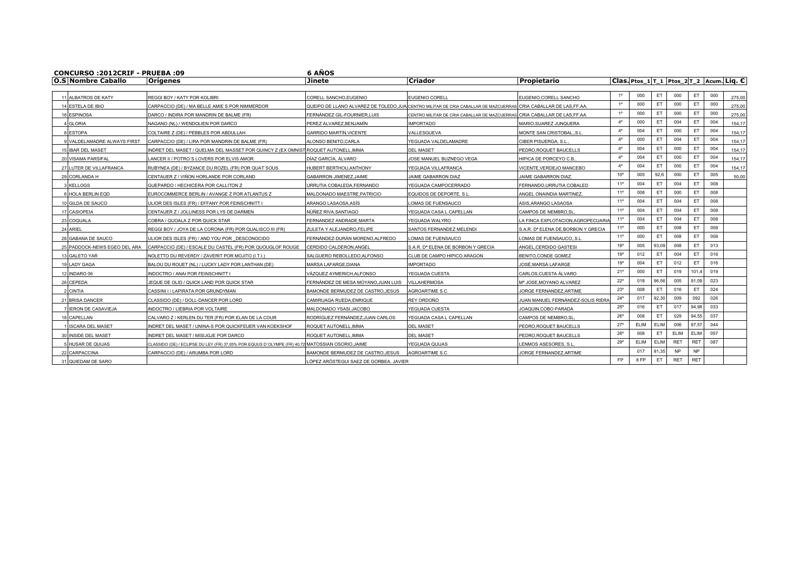| <b>CONCURSO :2012CRIF - PRUEBA :09</b> |                                                                                                 | 6 AÑOS                                 |                                                                                                                |                                                |                                            |      |             |            |            |     |        |
|----------------------------------------|-------------------------------------------------------------------------------------------------|----------------------------------------|----------------------------------------------------------------------------------------------------------------|------------------------------------------------|--------------------------------------------|------|-------------|------------|------------|-----|--------|
| <b>O.S Nombre Caballo</b>              | <b>Orígenes</b>                                                                                 | <b>Jinete</b>                          | <b>Criador</b>                                                                                                 | Propietario                                    | Clas. Ptos_1 T_1  Ptos_2 T_2  Acum. Liq. C |      |             |            |            |     |        |
| 11 ALBATROS DE KATY                    | REGGI BOY / KATY POR KOLIBRI                                                                    | CORELL SANCHO, EUGENIO                 | EUGENIO COREL                                                                                                  | EUGENIO, CORELL SANCHO                         |                                            | 000  | ET          | 000        | ET         | 000 | 275,00 |
| 14 FSTELA DE IBIO                      |                                                                                                 |                                        |                                                                                                                |                                                | $1^{\circ}$                                | 000  | ET.         | 000        | ET.        | 000 | 275.00 |
|                                        | CARPACCIO (DE) / MA BELLE AMIE S POR NIMMERDOR                                                  |                                        | QUEIPO DE LLANO ALVAREZ DE TOLEDO.JUAICENTRO MILITAR DE CRIA CABALLAR DE MAZCUERRASICRIA CABALLAR DE LAS.FF.AA |                                                |                                            | 000  | ET          | 000        | ET         | 000 |        |
| 6 ESPINOSA                             | DARCO / INDIRA POR MANDRIN DE BALME (FR)                                                        | FERNÁNDEZ GIL-FOURNIER.LUIS            | CENTRO MILITAR DE CRIA CABALLAR DE MAZCUERRAS CRIA CABALLAR DE LAS.FF.AA                                       |                                                | $4^{\circ}$                                | 000  | ET.         | 004        | ET.        | 004 | 275,00 |
| <b>GI ORIA</b>                         | NAGANO (NL) / WENDOLIEN POR DARCO                                                               | PEREZ ALVAREZ.BENJAMÍN                 | <b>IMPORTADO</b>                                                                                               | MARIO.SUAREZ JUNQUERA                          | $4^\circ$                                  | 004  | ET          | 000        | ET         | 004 | 154,17 |
| <b>ESTOPA</b>                          | COLTAIRE Z (DE) / PEBBLES POR ABDULLAH                                                          | <b>GARRIDO MARTÍN.VICENTE</b>          | VALLESGUEVA                                                                                                    | MONTE SAN CRISTOBAL,, S.L                      |                                            |      |             |            |            |     | 154,17 |
| VALDELAMADRE ALWAYS FIRST              | CARPACCIO (DE) / LIRA POR MANDRIN DE BALME (FR)                                                 | ALONSO BENITO.CARLA                    | YEGUADA VALDELAMADRE                                                                                           | CIBER PISUERGA, S.L.                           | $4^{\circ}$                                | 000  | ET.         | 004        | ET         | 004 | 154.17 |
| <b>5 IBAR DEL MASET</b>                | INDRET DEL MASET / QUELMA DEL MASSET POR QUINCY Z (EX OMNISTIROQUET AUTONELL.IMMA               |                                        | <b>DEL MASET</b>                                                                                               | PEDRO.ROQUET BAUCELLS                          | $4^{\circ}$                                | 004  | ET.         | 000        | ET.        | 004 | 154.17 |
| 20 VISAMA PARSIFAL                     | LANCER II / POTRO'S LOVERS POR ELVIS AMOR                                                       | DÍAZ GARCÍA. ÁLVARO                    | JOSE MANUEL BUZNEGO VEGA                                                                                       | HIPICA DE PORCEYO C.B.                         | $4^\circ$                                  | 004  | ET          | 000        | ET         | 004 | 154.17 |
| 27 LUTER DE VILLAFRANCA                | RUBYNEA (DE) / BYZANCE DU ROZEL (FR) POR QUAT'SOUS                                              | <b>IUBERT BERTHOU.ANTHONY</b>          | YEGUADA VILLAFRANCA                                                                                            | VICENTE.VERDEJO MANCEBO                        | $4^{\circ}$                                | 004  | ET          | 000        | ET.        | 004 | 154.17 |
| 29 CORLANDA H                          | CENTAUER Z / VIÑON HORLANDE POR CORLAND                                                         | GABARRON JIMENEZ.JAIME                 | JAIME GABARRON DIAZ                                                                                            | JAIME GABARRON DIAZ,                           | $10^{\circ}$                               | 005  | 92,6        | 000        | ET         | 005 | 50.00  |
| <b>KELLOGS</b>                         | GUEPARDO / HECHICERA POR CALLITON Z                                                             | <b>JRRUTIA COBALEDA,FERNANDO</b>       | YEGUADA CAMPOCERRADO                                                                                           | FERNANDO, URRUTIA COBALED                      | 11°                                        | 004  | ET.         | 004        | ET.        | 008 |        |
| <b>HOLA BERLIN EQD</b>                 | EUROCOMMERCE BERLIN / AVANGE Z POR ATLANTUS Z                                                   | <b>MALDONADO MAESTRE.PATRICIO</b>      | EQUIDOS DE DEPORTE, S.L                                                                                        | ANGEL ONAINDIA MARTINEZ                        | 11°                                        | 008  | ET          | 000        | ET         | 008 |        |
| 0 GILDA DE SAUCO                       | ULIOR DES ISLES (FR) / EFFANY POR FEINSCHNITT I                                                 | ARANGO LASAOSA,ASÍS                    | OMAS DE FUENSAUCO                                                                                              | ASIS.ARANGO LASAOSA                            | 11°                                        | 004  | ET          | 004        | ET.        | 008 |        |
| 17 CASIOPEIA                           | CENTAUER Z / JOLLINESS POR LYS DE DARMEN                                                        | NÚÑEZ RIVA.SANTIAGO                    | YEGUADA CASA L CAPELLAN                                                                                        | CAMPOS DE NEMBRO.SI                            | 11°                                        | 004  | ET.         | 004        | ET.        | 008 |        |
| 23 COQUALA                             | COBRA / QUOALA Z POR QUICK STAR                                                                 | FERNANDEZ ANDRADE.MARTA                | YEGUADA WALYRO                                                                                                 | LA FINCA EXPLOTACION.AGROPECUARIA              | 11°                                        | 004  | ET          | 004        | ET         | 008 |        |
| 24 ARIFI                               | REGGI BOY / JOYA DE LA CORONA (FR) POR QUALISCO III (FR)                                        | ZULETA Y ALEJANDRO.FELIPE              | SANTOS FERNANDEZ MELENDI                                                                                       | S.A.R. D <sup>®</sup> ELENA DE.BORBON Y GRECIA | $11^{\circ}$                               | 000  | ET.         | 008        | ET.        | 008 |        |
| 28 GABANA DE SAUCO                     | ULIOR DES ISLES (FR) / AND YOU POR DESCONOCIDO                                                  | FERNÁNDEZ-DURÁN MORENO.ALFREDO         | OMAS DE FUENSAUCO                                                                                              | OMAS DE FUENSAUCO, S.L                         | 11°                                        | 000  | ET.         | 008        | ET.        | 008 |        |
| 25 PADDOCK-NEWS EGEO DEL ARA           | CARPACCIO (DE) / ESCALE DU CASTEL (FR) POR QUOUGLOF ROUGE                                       | CERDIDO CALDERON.ANGEL                 | S.A.R. Dª ELENA DE BORBON Y GRECIA                                                                             | ANGEL, CERDIDO GASTESI                         | $18^{\circ}$                               | 005  | 93,09       | 008        | ET         | 013 |        |
| 13 GALETO YAR                          | NOLETTO DU REVERDY / ZAVERIT POR MOJITO (I.T.I.)                                                | SALGUERO REBOLLEDO.ALFONSO             | CLUB DE CAMPO HIPICO ARAGON                                                                                    | BENITO.CONDE GOMEZ                             | 19°                                        | 012  | ET.         | 004        | ET.        | 016 |        |
| 19 LADY GAGA                           | BALOU DU ROUET (NL) / LUCKY LADY POR LANTHAN (DE)                                               | MARSA LAFARGE, DIANA                   | <b>IMPORTADO</b>                                                                                               | JOSÉ.MARSÁ LAFARGE                             | 19°                                        | 004  | ET          | 012        | ET         | 016 |        |
| 12 INDARO 06                           | INDOCTRO / ANAI POR FEINSCHNITT I                                                               | VAZQUEZ AYMERICH,ALFONSO               | YEGUADA CUESTA                                                                                                 | CARLOS.CUESTA ÁLVARO                           | 21°                                        | 000  | ET.         | 019        | 101.4      | 019 |        |
| 26 CEPEDA                              | JEQUE DE OLID / QUICK LAND POR QUICK STAR                                                       | FERNÁNDEZ DE MESA MOYANO,JUAN LUIS     | VILLAHERMOSA                                                                                                   | Mª JOSE,MOYANO ALVAREZ                         | $22^{\circ}$                               | 018  | 96,56       | 005        | 91,09      | 023 |        |
| <b>CINTIA</b>                          | CASSINI I / LAPIRATA POR GRUNDYMAN                                                              | BAMONDE BERMUDEZ DE CASTRO.JESUS       | AGROARTIME S.C.                                                                                                | JORGE FERNANDEZ.ARTIME                         | 23°                                        | 008  | ET          | 016        | ET.        | 024 |        |
| 21 BRISA DANCER                        | CLASSIDO (DE) / DOLL-DANCER POR LORD                                                            | CAMIRUAGA RUEDA.ENRIQUE                | REY ORDOÑO                                                                                                     | JUAN MANUEL FERNÁNDEZ-SOLIS RIERA              | $24^{\circ}$                               | 017  | 92,30       | 009        | 092        | 026 |        |
| <b>IERON DE CASAVIEJA</b>              | INDOCTRO / LIEBRIA POR VOLTAIRE                                                                 | MALDONADO YSASI.JACOBO                 | YEGUADA CUESTA                                                                                                 | JOAQUIN.COBO PARADA                            | $25^{\circ}$                               | 016  | ET          | 017        | 94,98      | 033 |        |
| 18 CAPELLAN                            | CALVARO Z / KERLEN DU TER (FR) POR ELAN DE LA COUR                                              | RODRÍGUEZ FERNÁNDEZ.JUAN CARLOS        | YEGUADA CASA L CAPELLAN                                                                                        | CAMPOS DE NEMBRO.SI                            | $26^{\circ}$                               | 008  | ET          | 029        | 94,55      | 037 |        |
| <b>ISCARA DEL MASET</b>                | INDRET DEL MASET / UNINA-S POR QUICKFEUER VAN KOEKSHOF                                          | ROQUET AUTONELL.IMMA                   | DEL MASET                                                                                                      | PEDRO.ROQUET BAUCELLS                          | $27^{\circ}$                               | ELIM | ELIM        | 006        | 97,57      | 044 |        |
| 30 INSIDE DEL MASET                    | INDRET DEL MASET / MISIJGJE POR DARCO                                                           | ROQUET AUTONELL.IMMA                   | <b>DEL MASET</b>                                                                                               | PEDRO, ROQUET BAUCELLS                         | $28^{\circ}$                               | 008  | ET          | ELIM       | ELIM       | 057 |        |
| <b>HUSAR DE QUIJAS</b>                 | CLASSIDO (DE) / ECLIPSE DU LEY (FR) 37.05% POR EQUUS D'OLYMPE (FR) 40.72 MATOSSIAN OSORIO.JAIME |                                        | YEGUADA QUIJAS                                                                                                 | LENMOS ASESORES, S.L                           | 29°                                        | ELIM | <b>ELIM</b> | <b>RET</b> | <b>RET</b> | 087 |        |
| 22 CARPACCINA                          | CARPACCIO (DE) / ARUMBA POR LORD                                                                | BAMONDE BERMUDEZ DE CASTRO, JESUS      | AGROARTIME S.C.                                                                                                | JORGE FERNANDEZ, ARTIME                        |                                            | 017  | 91,35       | NP.        | NP         |     |        |
| 31 QUIEDAM DE SARO                     |                                                                                                 | LÓPEZ ARÓSTEGUI SAEZ DE GORBEA, JAVIER |                                                                                                                |                                                | FP                                         | 8 FP | ET          | <b>RET</b> | <b>RET</b> |     |        |